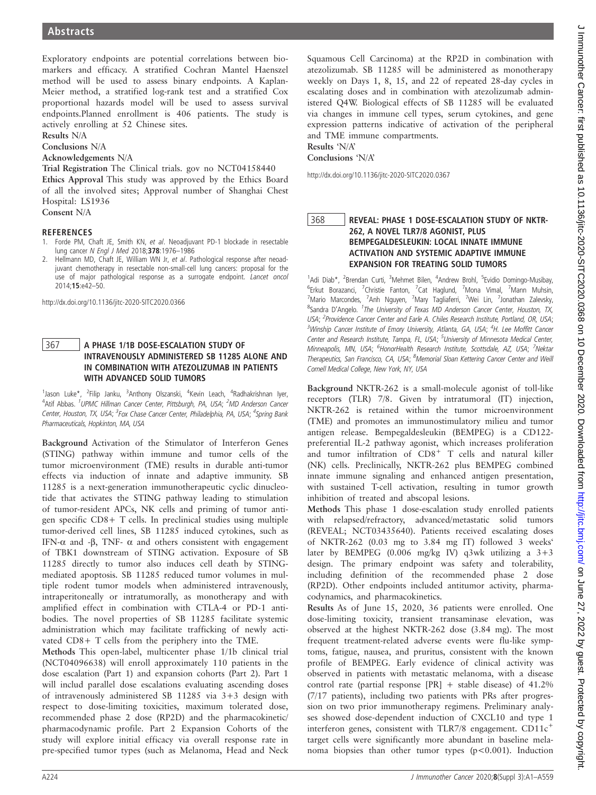Exploratory endpoints are potential correlations between biomarkers and efficacy. A stratified Cochran Mantel Haenszel method will be used to assess binary endpoints. A Kaplan-Meier method, a stratified log-rank test and a stratified Cox proportional hazards model will be used to assess survival endpoints.Planned enrollment is 406 patients. The study is actively enrolling at 52 Chinese sites.

Results N/A

Conclusions N/A Acknowledgements N/A

Trial Registration The Clinical trials. gov no NCT04158440 Ethics Approval This study was approved by the Ethics Board of all the involved sites; Approval number of Shanghai Chest Hospital: LS1936

Consent N/A

- 1. Forde PM, Chaft JE, Smith KN, et al. Neoadjuvant PD-1 blockade in resectable lung cancer N Engl J Med 2018;378:1976–<sup>1986</sup>
- Hellmann MD, Chaft JE, William WN Jr, et al. Pathological response after neoadjuvant chemotherapy in resectable non-small-cell lung cancers: proposal for the use of major pathological response as a surrogate endpoint. Lancet oncol 2014;15:e42–50.

http://dx.doi.org/10.1136/jitc-2020-SITC2020.0366

# 367 A PHASE 1/1B DOSE-ESCALATION STUDY OF<br>INTRAVENOUSLY ADMINISTERED SB 11285 ALONE AND IN COMBINATION WITH ATEZOLIZUMAB IN PATIENTS WITH ADVANCED SOLID TUMORS

<sup>1</sup>Jason Luke\*, <sup>2</sup>Filip Janku, <sup>3</sup>Anthony Olszanski, <sup>4</sup>Kevin Leach, <sup>4</sup>Radhakrishnan Iyer, <sup>4</sup>Atif Abbas. <sup>1</sup>UPMC Hillman Cancer Center, Pittsburgh, PA, USA; <sup>2</sup>MD Anderson Cancer Center, Houston, TX, USA; <sup>3</sup>Fox Chase Cancer Center, Philadelphia, PA, USA; <sup>4</sup>Spring Bank Pharmaceuticals, Hopkinton, MA, USA

Background Activation of the Stimulator of Interferon Genes (STING) pathway within immune and tumor cells of the tumor microenvironment (TME) results in durable anti-tumor effects via induction of innate and adaptive immunity. SB 11285 is a next-generation immunotherapeutic cyclic dinucleotide that activates the STING pathway leading to stimulation of tumor-resident APCs, NK cells and priming of tumor antigen specific CD8+ T cells. In preclinical studies using multiple tumor-derived cell lines, SB 11285 induced cytokines, such as IFN- $\alpha$  and - $\beta$ , TNF-  $\alpha$  and others consistent with engagement of TBK1 downstream of STING activation. Exposure of SB 11285 directly to tumor also induces cell death by STINGmediated apoptosis. SB 11285 reduced tumor volumes in multiple rodent tumor models when administered intravenously, intraperitoneally or intratumorally, as monotherapy and with amplified effect in combination with CTLA-4 or PD-1 antibodies. The novel properties of SB 11285 facilitate systemic administration which may facilitate trafficking of newly activated CD8+ T cells from the periphery into the TME.

Methods This open-label, multicenter phase 1/1b clinical trial (NCT04096638) will enroll approximately 110 patients in the dose escalation (Part 1) and expansion cohorts (Part 2). Part 1 will includ parallel dose escalations evaluating ascending doses of intravenously administered SB 11285 via 3+3 design with respect to dose-limiting toxicities, maximum tolerated dose, recommended phase 2 dose (RP2D) and the pharmacokinetic/ pharmacodynamic profile. Part 2 Expansion Cohorts of the study will explore initial efficacy via overall response rate in pre-specified tumor types (such as Melanoma, Head and Neck

Squamous Cell Carcinoma) at the RP2D in combination with atezolizumab. SB 11285 will be administered as monotherapy weekly on Days 1, 8, 15, and 22 of repeated 28-day cycles in escalating doses and in combination with atezolizumab administered Q4W. Biological effects of SB 11285 will be evaluated via changes in immune cell types, serum cytokines, and gene expression patterns indicative of activation of the peripheral and TME immune compartments. Results 'N/A'

Conclusions 'N/A'

http://dx.doi.org/10.1136/jitc-2020-SITC2020.0367

### 368 REVEAL: PHASE 1 DOSE-ESCALATION STUDY OF NKTR-<br>262, A NOVEL TLR7/8 AGONIST, PLUS BEMPEGALDESLEUKIN: LOCAL INNATE IMMUNE **ACTIVATION AND SYSTEMIC ADAPTIVE IMMUNE EXPANSION FOR TREATING SOLID TUMORS**

<sup>1</sup>Adi Diab\*, <sup>2</sup>Brendan Curti, <sup>3</sup>Mehmet Bilen, <sup>4</sup>Andrew Brohl, <sup>5</sup>Evidio Domingo-Musibay, <sup>6</sup>Erkut Borazanci, <sup>7</sup>Christie Fanton, <sup>7</sup>Cat Haglund, <sup>7</sup>Mona Vimal, <sup>7</sup>Mann Muhsin,<br><sup>7</sup>Mario Marcondes, <sup>7</sup>Anh Nguyen, <sup>7</sup>Mary Tagliaferri, <sup>7</sup>Wei Lin, <sup>7</sup>Jonathan Zalevsky, <sup>8</sup>Sandra D'Angelo. <sup>1</sup>The University of Texas MD Anderson Cancer Center, Houston, TX, USA; <sup>2</sup> Providence Cancer Center and Earle A. Chiles Research Institute, Portland, OR, USA; <sup>3</sup>Winship Cancer Institute of Emory University, Atlanta, GA, USA; <sup>4</sup>H. Lee Moffitt Cancer Center and Research Institute, Tampa, FL, USA; <sup>5</sup>University of Minnesota Medical Center, Minneapolis, MN, USA; <sup>6</sup>HonorHealth Research Institute, Scottsdale, AZ, USA; <sup>7</sup>Nektar Therapeutics, San Francisco, CA, USA; <sup>8</sup>Memorial Sloan Kettering Cancer Center and Weill Cornell Medical College, New York, NY, USA

Background NKTR-262 is a small-molecule agonist of toll-like receptors (TLR) 7/8. Given by intratumoral (IT) injection, NKTR-262 is retained within the tumor microenvironment (TME) and promotes an immunostimulatory milieu and tumor antigen release. Bempegaldesleukin (BEMPEG) is a CD122 preferential IL-2 pathway agonist, which increases proliferation and tumor infiltration of CD8+ T cells and natural killer (NK) cells. Preclinically, NKTR-262 plus BEMPEG combined innate immune signaling and enhanced antigen presentation, with sustained T-cell activation, resulting in tumor growth inhibition of treated and abscopal lesions.

Methods This phase 1 dose-escalation study enrolled patients with relapsed/refractory, advanced/metastatic solid tumors (REVEAL; NCT03435640). Patients received escalating doses of NKTR-262 (0.03 mg to 3.84 mg IT) followed 3 weeks' later by BEMPEG (0.006 mg/kg IV) q3wk utilizing a 3+3 design. The primary endpoint was safety and tolerability, including definition of the recommended phase 2 dose (RP2D). Other endpoints included antitumor activity, pharmacodynamics, and pharmacokinetics.

Results As of June 15, 2020, 36 patients were enrolled. One dose-limiting toxicity, transient transaminase elevation, was observed at the highest NKTR-262 dose (3.84 mg). The most frequent treatment-related adverse events were flu-like symptoms, fatigue, nausea, and pruritus, consistent with the known profile of BEMPEG. Early evidence of clinical activity was observed in patients with metastatic melanoma, with a disease control rate (partial response [PR] + stable disease) of 41.2% (7/17 patients), including two patients with PRs after progression on two prior immunotherapy regimens. Preliminary analyses showed dose-dependent induction of CXCL10 and type 1 interferon genes, consistent with TLR7/8 engagement.  $CD11c<sup>+</sup>$ target cells were significantly more abundant in baseline melanoma biopsies than other tumor types (p<0.001). Induction

 $\epsilon$